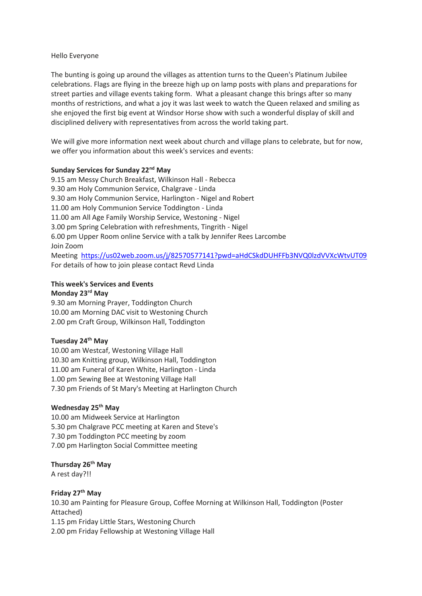#### Hello Everyone

The bunting is going up around the villages as attention turns to the Queen's Platinum Jubilee celebrations. Flags are flying in the breeze high up on lamp posts with plans and preparations for street parties and village events taking form. What a pleasant change this brings after so many months of restrictions, and what a joy it was last week to watch the Queen relaxed and smiling as she enjoyed the first big event at Windsor Horse show with such a wonderful display of skill and disciplined delivery with representatives from across the world taking part.

We will give more information next week about church and village plans to celebrate, but for now, we offer you information about this week's services and events:

### **Sunday Services for Sunday 22nd May**

9.15 am Messy Church Breakfast, Wilkinson Hall - Rebecca 9.30 am Holy Communion Service, Chalgrave - Linda 9.30 am Holy Communion Service, Harlington - Nigel and Robert 11.00 am Holy Communion Service Toddington - Linda 11.00 am All Age Family Worship Service, Westoning - Nigel 3.00 pm Spring Celebration with refreshments, Tingrith - Nigel 6.00 pm Upper Room online Service with a talk by Jennifer Rees Larcombe Join Zoom

Meeting [https://us02web.zoom.us/j/82570577141?pwd=aHdCSkdDUHFFb3NVQ0lzdVVXcWtvUT09](https://nam12.safelinks.protection.outlook.com/?url=https%3A%2F%2Fus02web.zoom.us%2Fj%2F82570577141%3Fpwd%3DaHdCSkdDUHFFb3NVQ0lzdVVXcWtvUT09&data=05%7C01%7C%7C081fb408ba324673691c08da3b135c95%7C84df9e7fe9f640afb435aaaaaaaaaaaa%7C1%7C0%7C637887251594075201%7CUnknown%7CTWFpbGZsb3d8eyJWIjoiMC4wLjAwMDAiLCJQIjoiV2luMzIiLCJBTiI6Ik1haWwiLCJXVCI6Mn0%3D%7C3000%7C%7C%7C&sdata=oyavsilySlENoR3yLKYpxeMpKoJDfXGU4OEWPK3%2B8F0%3D&reserved=0) For details of how to join please contact Revd Linda

### **This week's Services and Events**

# **Monday 23rd May**

9.30 am Morning Prayer, Toddington Church 10.00 am Morning DAC visit to Westoning Church 2.00 pm Craft Group, Wilkinson Hall, Toddington

### **Tuesday 24th May**

10.00 am Westcaf, Westoning Village Hall 10.30 am Knitting group, Wilkinson Hall, Toddington 11.00 am Funeral of Karen White, Harlington - Linda 1.00 pm Sewing Bee at Westoning Village Hall 7.30 pm Friends of St Mary's Meeting at Harlington Church

# **Wednesday 25th May**

10.00 am Midweek Service at Harlington 5.30 pm Chalgrave PCC meeting at Karen and Steve's 7.30 pm Toddington PCC meeting by zoom 7.00 pm Harlington Social Committee meeting

### **Thursday 26th May**

A rest day?!!

### **Friday 27th May**

10.30 am Painting for Pleasure Group, Coffee Morning at Wilkinson Hall, Toddington (Poster Attached) 1.15 pm Friday Little Stars, Westoning Church 2.00 pm Friday Fellowship at Westoning Village Hall